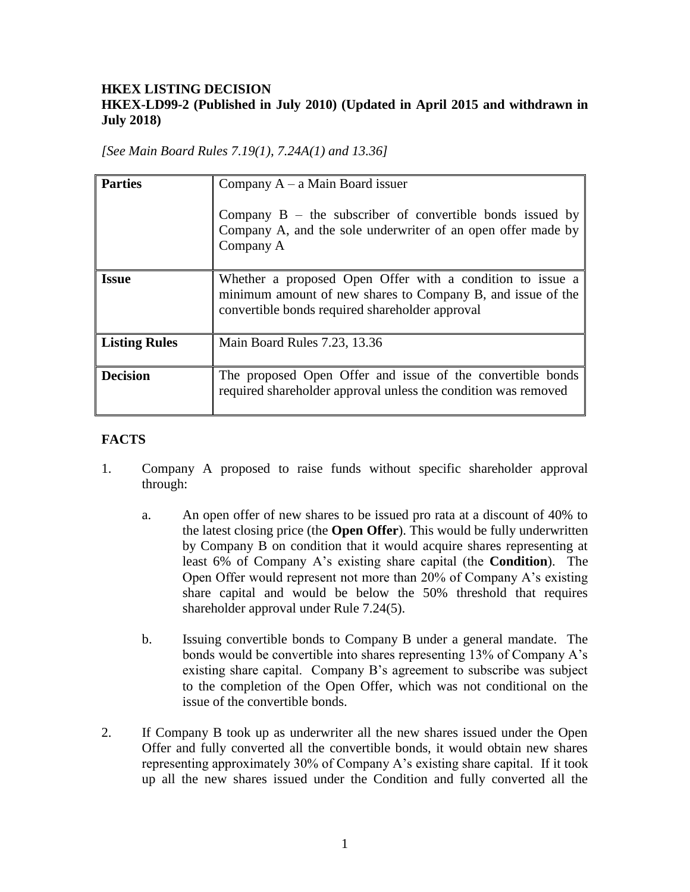## **HKEX LISTING DECISION HKEX-LD99-2 (Published in July 2010) (Updated in April 2015 and withdrawn in July 2018)**

*[See Main Board Rules 7.19(1), 7.24A(1) and 13.36]*

| <b>Parties</b>       | Company $A - a$ Main Board issuer<br>Company $B$ – the subscriber of convertible bonds issued by<br>Company A, and the sole underwriter of an open offer made by<br>Company A |
|----------------------|-------------------------------------------------------------------------------------------------------------------------------------------------------------------------------|
| <b>Issue</b>         | Whether a proposed Open Offer with a condition to issue a<br>minimum amount of new shares to Company B, and issue of the<br>convertible bonds required shareholder approval   |
| <b>Listing Rules</b> | Main Board Rules 7.23, 13.36                                                                                                                                                  |
| <b>Decision</b>      | The proposed Open Offer and issue of the convertible bonds<br>required shareholder approval unless the condition was removed                                                  |

# **FACTS**

- 1. Company A proposed to raise funds without specific shareholder approval through:
	- a. An open offer of new shares to be issued pro rata at a discount of 40% to the latest closing price (the **Open Offer**). This would be fully underwritten by Company B on condition that it would acquire shares representing at least 6% of Company A's existing share capital (the **Condition**). The Open Offer would represent not more than 20% of Company A's existing share capital and would be below the 50% threshold that requires shareholder approval under Rule 7.24(5).
	- b. Issuing convertible bonds to Company B under a general mandate. The bonds would be convertible into shares representing 13% of Company A's existing share capital. Company B's agreement to subscribe was subject to the completion of the Open Offer, which was not conditional on the issue of the convertible bonds.
- 2. If Company B took up as underwriter all the new shares issued under the Open Offer and fully converted all the convertible bonds, it would obtain new shares representing approximately 30% of Company A's existing share capital. If it took up all the new shares issued under the Condition and fully converted all the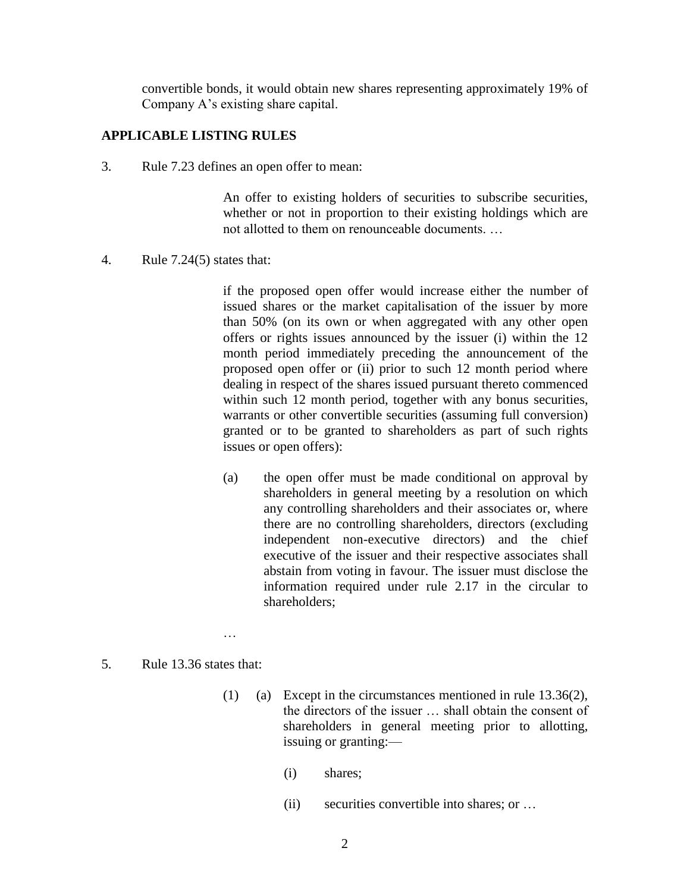convertible bonds, it would obtain new shares representing approximately 19% of Company A's existing share capital.

#### **APPLICABLE LISTING RULES**

3. Rule 7.23 defines an open offer to mean:

An offer to existing holders of securities to subscribe securities, whether or not in proportion to their existing holdings which are not allotted to them on renounceable documents. …

4. Rule 7.24(5) states that:

if the proposed open offer would increase either the number of issued shares or the market capitalisation of the issuer by more than 50% (on its own or when aggregated with any other open offers or rights issues announced by the issuer (i) within the 12 month period immediately preceding the announcement of the proposed open offer or (ii) prior to such 12 month period where dealing in respect of the shares issued pursuant thereto commenced within such 12 month period, together with any bonus securities, warrants or other convertible securities (assuming full conversion) granted or to be granted to shareholders as part of such rights issues or open offers):

- (a) the open offer must be made conditional on approval by shareholders in general meeting by a resolution on which any controlling shareholders and their associates or, where there are no controlling shareholders, directors (excluding independent non-executive directors) and the chief executive of the issuer and their respective associates shall abstain from voting in favour. The issuer must disclose the information required under rule 2.17 in the circular to shareholders;
- 5. Rule 13.36 states that:

…

- (1) (a) Except in the circumstances mentioned in rule 13.36(2), the directors of the issuer … shall obtain the consent of shareholders in general meeting prior to allotting, issuing or granting:—
	- (i) shares;
	- (ii) securities convertible into shares; or …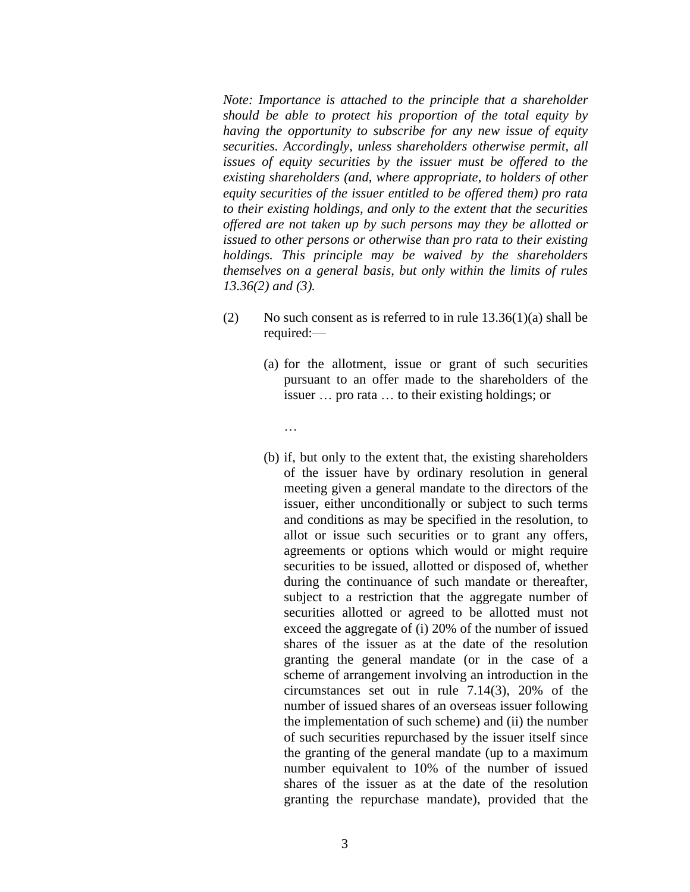*Note: Importance is attached to the principle that a shareholder should be able to protect his proportion of the total equity by having the opportunity to subscribe for any new issue of equity securities. Accordingly, unless shareholders otherwise permit, all issues of equity securities by the issuer must be offered to the existing shareholders (and, where appropriate, to holders of other equity securities of the issuer entitled to be offered them) pro rata to their existing holdings, and only to the extent that the securities offered are not taken up by such persons may they be allotted or issued to other persons or otherwise than pro rata to their existing holdings. This principle may be waived by the shareholders themselves on a general basis, but only within the limits of rules 13.36(2) and (3).*

(2) No such consent as is referred to in rule  $13.36(1)(a)$  shall be required:—

…

- (a) for the allotment, issue or grant of such securities pursuant to an offer made to the shareholders of the issuer … pro rata … to their existing holdings; or
- (b) if, but only to the extent that, the existing shareholders of the issuer have by ordinary resolution in general meeting given a general mandate to the directors of the issuer, either unconditionally or subject to such terms and conditions as may be specified in the resolution, to allot or issue such securities or to grant any offers, agreements or options which would or might require securities to be issued, allotted or disposed of, whether during the continuance of such mandate or thereafter, subject to a restriction that the aggregate number of securities allotted or agreed to be allotted must not exceed the aggregate of (i) 20% of the number of issued shares of the issuer as at the date of the resolution granting the general mandate (or in the case of a scheme of arrangement involving an introduction in the circumstances set out in rule 7.14(3), 20% of the number of issued shares of an overseas issuer following the implementation of such scheme) and (ii) the number of such securities repurchased by the issuer itself since the granting of the general mandate (up to a maximum number equivalent to 10% of the number of issued shares of the issuer as at the date of the resolution granting the repurchase mandate), provided that the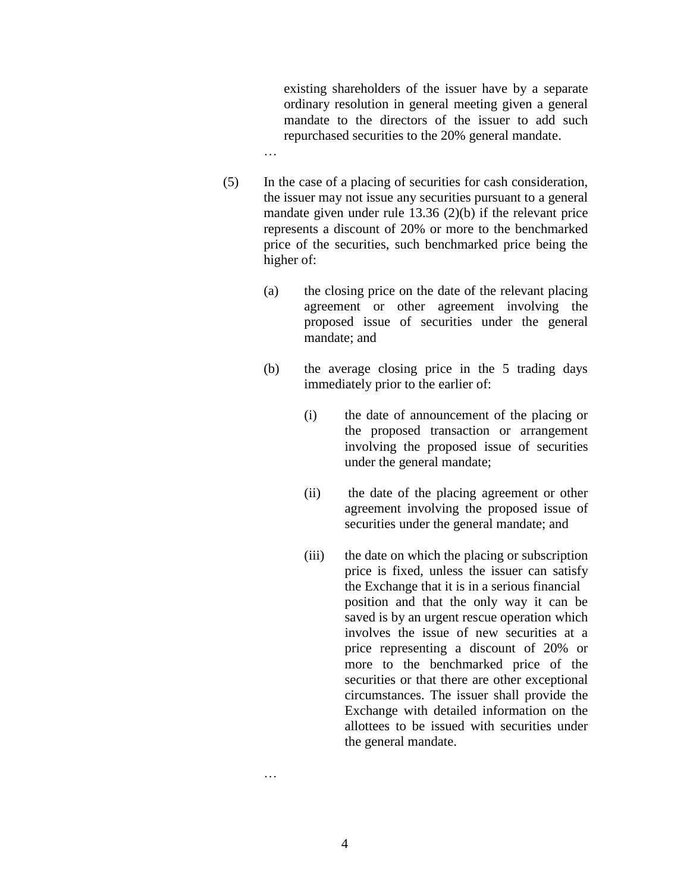existing shareholders of the issuer have by a separate ordinary resolution in general meeting given a general mandate to the directors of the issuer to add such repurchased securities to the 20% general mandate.

(5) In the case of a placing of securities for cash consideration, the issuer may not issue any securities pursuant to a general mandate given under rule 13.36 (2)(b) if the relevant price represents a discount of 20% or more to the benchmarked price of the securities, such benchmarked price being the higher of:

…

- (a) the closing price on the date of the relevant placing agreement or other agreement involving the proposed issue of securities under the general mandate; and
- (b) the average closing price in the 5 trading days immediately prior to the earlier of:
	- (i) the date of announcement of the placing or the proposed transaction or arrangement involving the proposed issue of securities under the general mandate;
	- (ii) the date of the placing agreement or other agreement involving the proposed issue of securities under the general mandate; and
	- (iii) the date on which the placing or subscription price is fixed, unless the issuer can satisfy the Exchange that it is in a serious financial position and that the only way it can be saved is by an urgent rescue operation which involves the issue of new securities at a price representing a discount of 20% or more to the benchmarked price of the securities or that there are other exceptional circumstances. The issuer shall provide the Exchange with detailed information on the allottees to be issued with securities under the general mandate.

…